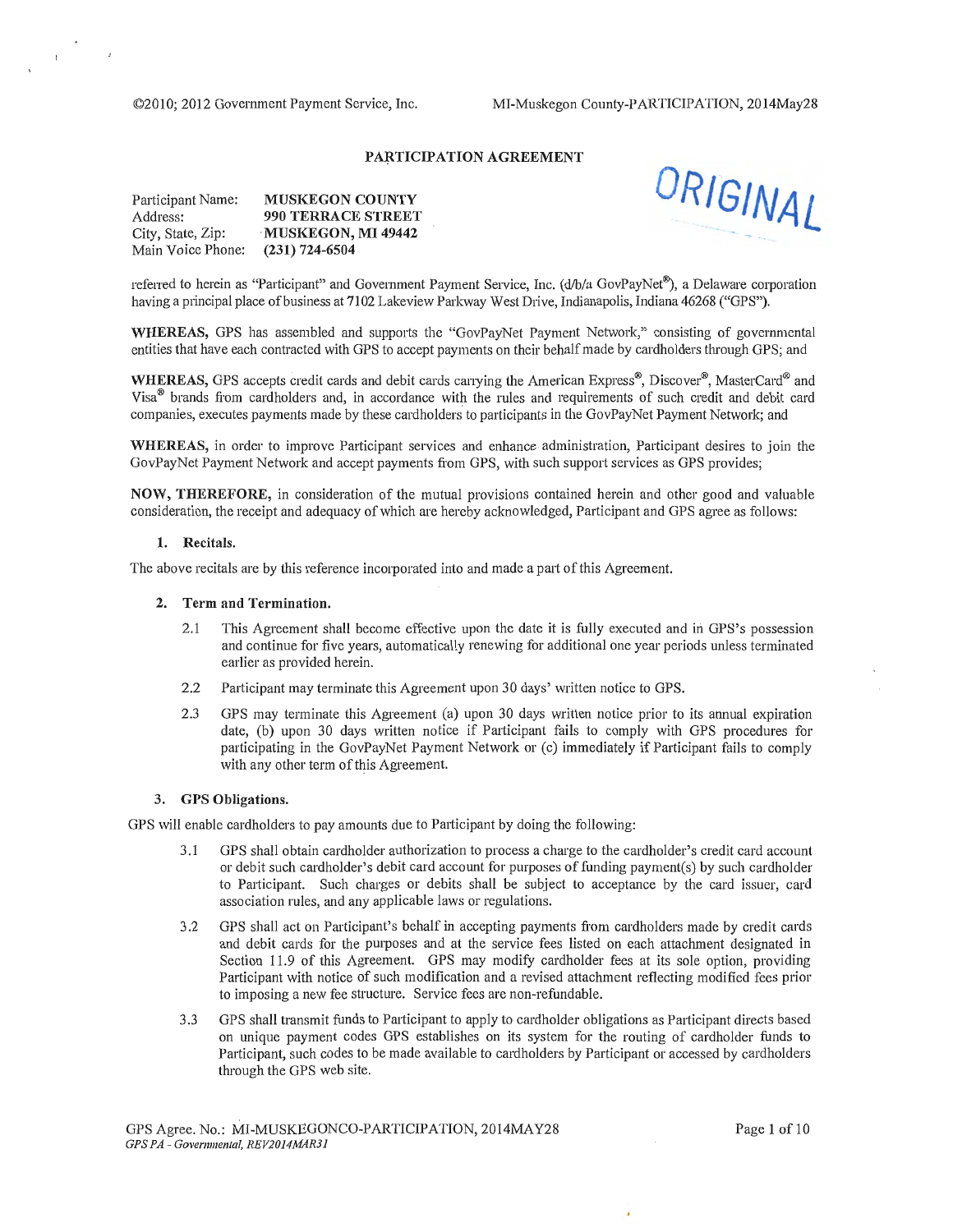$\mathcal{L}_{\mathcal{L}}$ 

 $\mathbf{r}$ 

### PARTICIPATION AGREEMENT

| Participant Name: | <b>MUSKEGON COUNTY</b>    |
|-------------------|---------------------------|
| Address:          | <b>990 TERRACE STREET</b> |
| City, State, Zip: | <b>MUSKEGON, MI 49442</b> |
| Main Voice Phone: | $(231) 724 - 6504$        |



referred to herein as "Participant" and Government Payment Service, Inc. (d/b/a GovPayNet®), a Delaware corporation having a principal place of business at 7102 Lakeview Parkway West Drive, Indianapolis, Indiana 46268 ("GPS").

WHEREAS, GPS has assembled and supports the "GovPayNet Payment Network," consisting of governmental entities that have each contracted with GPS to accept payments on their behalf made by cardholders through GPS; and

WHEREAS, GPS accepts credit cards and debit cards carrying the American Express®, Discover®, MasterCard® and Visa® brands from cardholders and, in accordance with the rules and requirements of such credit and debit card companies, executes payments made by these cardholders to participants in the GovPayNet Payment Network; and

WHEREAS, in order to improve Participant services and enhance administration, Participant desires to join the GovPayNet Payment Network and accept payments from GPS, with such support services as GPS provides;

NOW, THEREFORE, in consideration of the mutual provisions contained herein and other good and valuable consideration, the receipt and adequacy of which are hereby acknowledged, Participant and GPS agree as follows:

#### 1. Recitals.

The above recitals are by this reference incorporated into and made a pati of this Agreement.

#### 2. Term and Termination.

- 2.1 This Agreement shall become effective upon the date it is fully executed and in GPS's possession and continue for five years, automatically renewing for additional one year periods unless terminated earlier as provided herein.
- 2.2 Participant may terminate this Agreement upon 30 days' written notice to GPS.
- 2.3 GPS may terminate this Agreement (a) upon 30 days written notice prior to its annual expiration date, (b) upon 30 days written notice if Participant fails to comply with GPS procedures for participating in the GovPayNet Payment Network or (c) immediately if Participant fails to comply with any other term of this Agreement.

#### 3. GPS Obligations.

GPS will enable cardholders to pay amounts due to Participant by doing the following:

- 3.1 GPS shall obtain cardholder authorization to process a charge to the cardholder's credit card account or debit such cardholder's debit card account for purposes of funding payment(s) by such cardholder to Participant. Such charges or debits shall be subject to acceptance by the card issuer, card association rules, and any applicable laws or regulations.
- 3.2 GPS shall act on Participant's behalf in accepting payments from cardholders made by credit cards and debit cards for the purposes and at the service fees listed on each attachment designated in Section 11.9 of this Agreement. GPS may modify cardholder fees at its sole option, providing Participant with notice of such modification and a revised attachment reflecting modified fees prior to imposing a new fee structure. Service fees are non-refundable.
- 3.3 GPS shall transmit funds to Participant to apply to cardholder obligations as Participant directs based on unique payment codes GPS establishes on its system for the routing of cardholder funds to Participant, such codes to be made available to cardholders by Participant or accessed by cardholders through the GPS web site.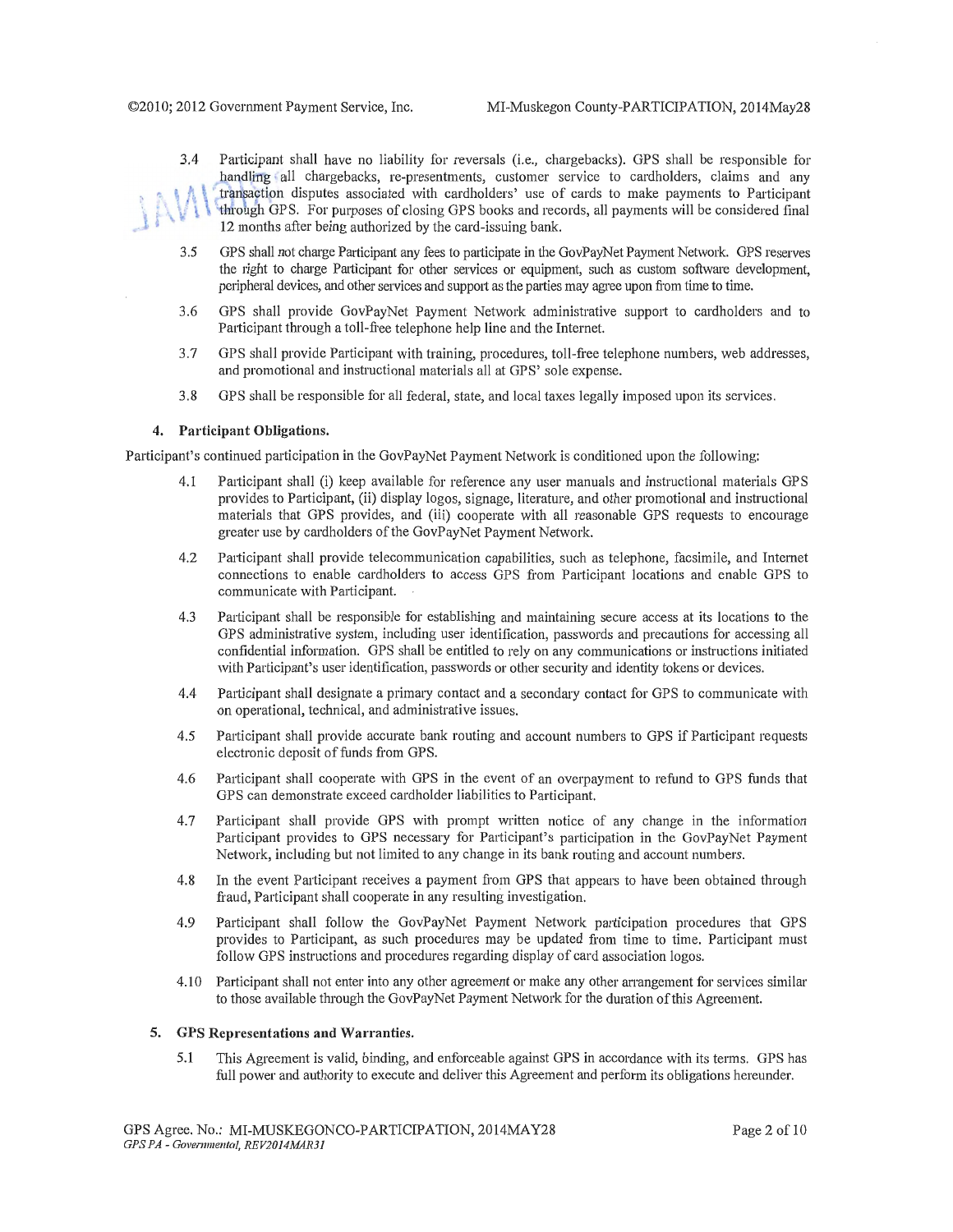- 3.4 Participant shall have no liability for reversals (i.e., chargebacks). GPS shall be responsible for handling all chargebacks, re-presentments, customer service to cardholders, claims and any transaction disputes associated with cardholders' use of cards to make payments to Participant through GPS. For purposes of closing GPS books and records, all payments will be considered final 12 months after being authorized by the card-issuing bank.
- 3.5 GPS shall not charge Patticipant any fees to patticipate in the GovPayNet Payment Network. GPS reserves the right to charge Participant for other services or equipment, such as custom software development, peripheral devices, and other services and support as the parties may agree upon from time to time.
- 3.6 GPS shall provide GovPayNet Payment Network administrative support to cardholders and to Participant through a toll-free telephone help line and the Internet.
- 3.7 GPS shall provide Participant with training, procedures, toll-free telephone numbers, web addresses, and promotional and instructional materials all at GPS' sole expense.
- 3.8 GPS shall be responsible for all federal, state, and local taxes legally imposed upon its services.

#### **4. Participant Obligations.**

.

Participant's continued participation in the GovPayNet Payment Network is conditioned upon the following:

- 4.1 Pmticipant shall (i) keep available for reference any user manuals and instructional materials GPS provides to Pmticipant, (ii) display logos, signage, literature, and other promotional and instructional materials that GPS provides, and (iii) cooperate with all reasonable GPS requests to encourage greater use by cardholders of the GovPayNet Payment Network.
- 4.2 Participant shall provide telecommunication capabilities, such as telephone, facsimile, and Internet connections to enable cardholders to access GPS from Participant locations and enable GPS to communicate with Participant.
- 4.3 Participant shall be responsible for establishing and maintaining secure access at its locations to the GPS administrative system, including user identification, passwords and precautions for accessing all confidential information. GPS shall be entitled to rely on any communications or instructions initiated with Participant's user identification, passwords or other security and identity tokens or devices.
- 4.4 Participant shall designate a primary contact and a secondary contact for GPS to communicate with on operational, technical, and administrative issues.
- 4.5 Participant shall provide accurate bank routing and account numbers to GPS if Participant requests electronic deposit of funds from GPS.
- 4.6 Participant shall cooperate with GPS in the event of an overpayment to refund to GPS funds that GPS can demonstrate exceed cardholder liabilities to Participant.
- 4.7 Participant shall provide GPS with prompt written notice of any change in the information Participant provides to GPS necessary for Participant's participation in the GovPayNet Payment Network, including but not limited to any change in its bank routing and account numbers.
- 4.8 In the event Participant receives a payment from GPS that appears to have been obtained through fraud, Participant shall cooperate in any resulting investigation.
- 4.9 Participant shall follow the GovPayNet Payment Network participation procedures that GPS provides to Participant, as such procedures may be updated from time to time. Participant must follow GPS instructions and procedures regarding display of card association logos.
- 4.10 Participant shall not enter into any other agreement or make any other arrangement for services similar to those available through the GovPayNet Payment Network for the duration of this Agreement.

#### **5. GPS Representations and Warranties.**

5.1 This Agreement is valid, binding, and enforceable against GPS in accordance with its terms. GPS has full power and authority to execute and deliver this Agreement and perform its obligations hereunder.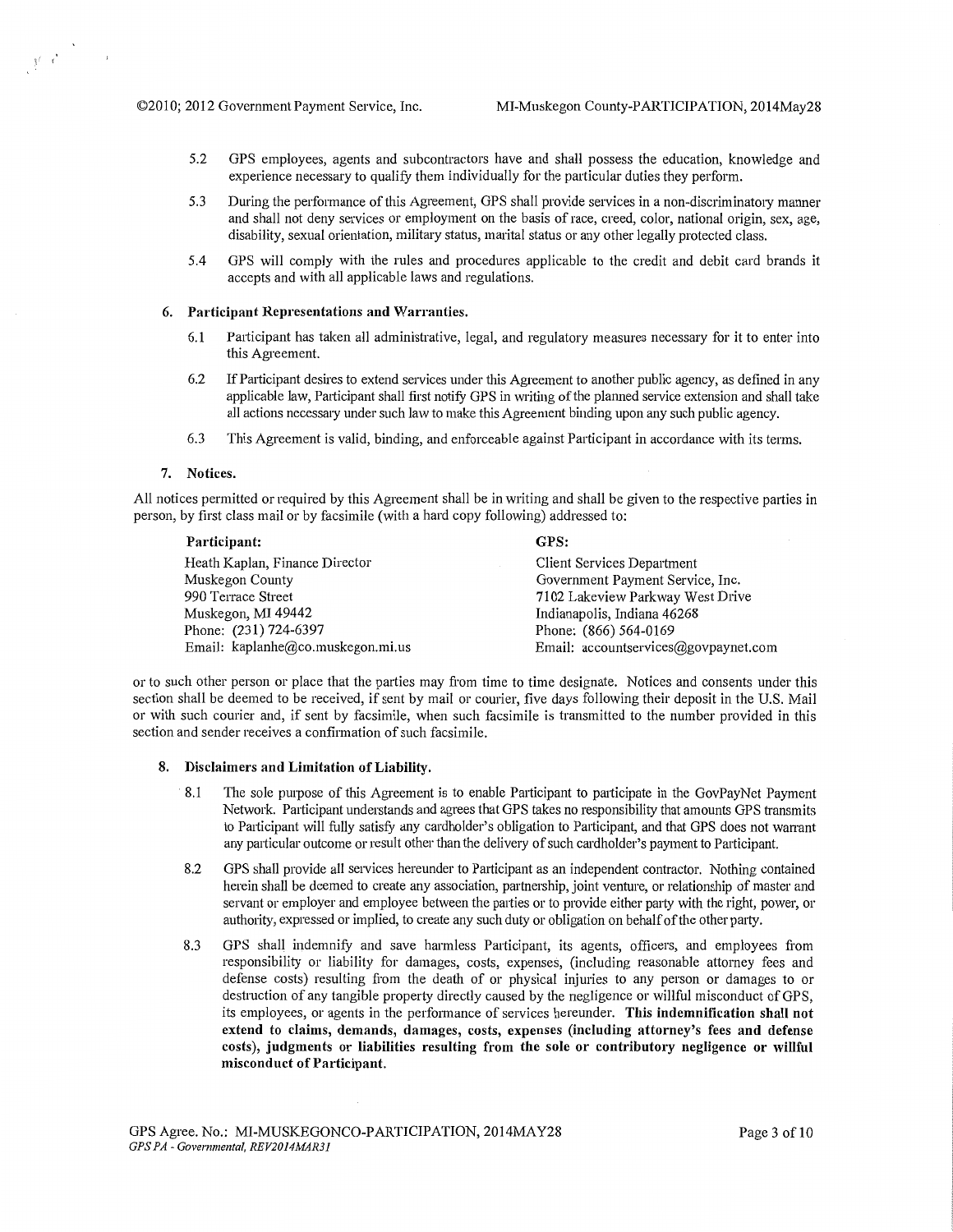- 5.2 GPS employees, agents and subcontractors have and shall possess the education, knowledge and experience necessary to qualify them individually for the particular duties they perform.
- 5.3 During the performance of this Agreement, GPS shall provide services in a non-discriminatory manner and shall not deny services or employment on the basis of race, creed, color, national origin, sex, age, disability, sexual orientation, military status, marital status or any other legally protected class.
- 5.4 GPS will comply with the rules and procedures applicable to the credit and debit card brands it accepts and with all applicable laws and regulations.

#### **6. Participant Representations and Warranties.**

- **6.1** Participant has taken all administrative, legal, and regulatory measures necessary for it to enter into this Agreement.
- 6.2 If Participant desires to extend services under this Agreement to another public agency, as defined in any applicable law, Pmticipant shall first notify GPS in writing of the planned service extension and shall take all actions necessary under such law to make this Agreement binding upon any such public agency.
- 6.3 This Agreement is valid, binding, and enforceable against Participant in accordance with its terms.

#### **7. Notices.**

 $\int_0^1 \frac{e^{2\pi i t}}{t^2} dt = 1.$ 

All notices permitted or required by this Agreement shall be in writing and shall be given to the respective parties in person, by first class mail or by facsimile (with a hard copy following) addressed to:

#### **Participant:**

Heath Kaplan, Finance Director Muskegon County 990 Terrace Street Muskegon, MI 49442 Phone: (231) 724-6397 Email: kaplanhe@co.muskegon.mi.us **GPS:**  Client Services Department

Government Payment Service, Inc. 7102 Lakeview Parkway West Drive Indianapolis, Indiana 46268 Phone: (866) 564-0169 Email: accountservices@govpaynet.com

or to such other person or place that the parties may from time to time designate. Notices and consents under this section shall be deemed to be received, if sent by mail or courier, five days following their deposit in the U.S. Mail or with such courier and, if sent by facsimile, when such facsimile is transmitted to the number provided in this section and sender receives a confirmation of such facsimile.

#### **8. Disclaimers and Limitation of Liability.**

- 8.1 The sole purpose of this Agreement is to enable Participant to participate in the GovPayNet Payment Network. Participant understands and agrees that GPS takes no responsibility that amounts GPS transmits to Participant will fully satisfy any cardholder's obligation to Participant, and that GPS does not warrant any particular outcome or result other than the delivery of such cardholder's payment to Participant.
- 8.2 GPS shall provide all services hereunder to Participant as an independent contractor. Nothing contained herein shall be deemed to create any association, partnership, joint venture, or relationship of master and servant or employer and employee between the patties or to provide either patty with the right, power, or authority, expressed or implied, to create any such duty or obligation on behalf of the other patty.
- 8.3 GPS shall indemnify and save harmless Participant, its agents, officers, and employees from responsibility or liability for damages, costs, expenses, (including reasonable attorney fees and defense costs) resulting from the death of or physical injuries to any person or damages to or destruction of any tangible property directly caused by the negligence or willful misconduct of GPS, its employees, or agents in the performance of services hereunder. **This indemnification shall not extend to claims, demands, damages, costs, expenses (including attorney's fees and defense costs), judgments or liabilities resulting from the sole or contributory negligence or willful misconduct of Participant.**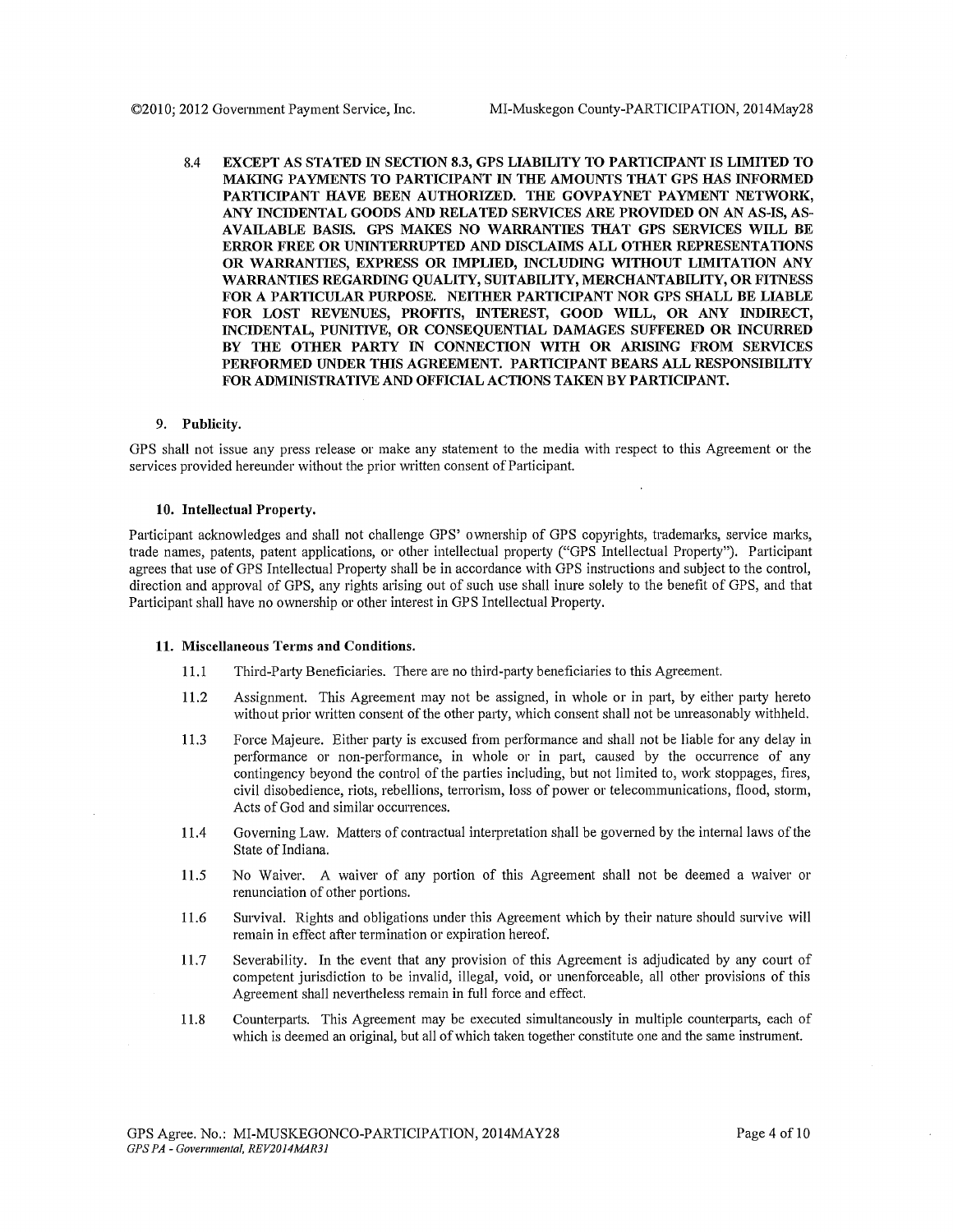8.4 EXCEPT AS STATED IN SECTION 8.3, GPS LIABILITY TO PARTICIPANT IS LIMITED TO MAKING PAYMENTS TO PARTICIPANT IN THE AMOUNTS THAT GPS HAS INFORMED PARTICIPANT HAVE BEEN AUTHORIZED. THE GOVPAYNET PAYMENT NETWORK, ANY INCIDENTAL GOODS AND RELATED SERVICES ARE PROVIDED ON AN AS-IS, AS-AVAILABLE BASIS. GPS MAKES NO WARRANTIES THAT GPS SERVICES WILL BE ERROR FREE OR UNINTERRUPTED AND DISCLAIMS ALL OTHER REPRESENTATIONS OR WARRANTIES, EXPRESS OR IMPLIED, INCLUDING WITHOUT LIMITATION ANY WARRANTIES REGARDING QUALITY, SUITABILITY, MERCHANTABILITY, OR FITNESS FOR A PARTICULAR PURPOSE. NEITHER PARTICIPANT NOR GPS SHALL BE LIABLE FOR LOST REVENUES, PROFITS, INTEREST, GOOD WILL, OR ANY INDIRECT, INCIDENTAL, PUNITIVE, OR CONSEQUENTIAL DAMAGES SUFFERED OR INCURRED BY THE OTHER PARTY IN CONNECTION WITH OR ARISING FROM SERVICES PERFORMED UNDER THIS AGREEMENT. PARTICIPANT BEARS ALL RESPONSIBILITY FOR ADMINISTRATIVE AND OFFICIAL ACTIONS TAKEN BY PARTICIPANT.

### 9. Publicity.

GPS shall not issue any press release or make any statement to the media with respect to this Agreement or the services provided hereunder without the prior written consent of Participant.

#### 10. Intellectual Property.

Participant acknowledges and shall not challenge GPS' ownership of GPS copyrights, trademarks, service marks, trade names, patents, patent applications, or other intellectual property ("GPS Intellectual Property"). Participant agrees that use of GPS Intellectual Property shall be in accordance with GPS instructions and subject to the control, direction and approval of GPS, any rights arising out of such use shall inure solely to the benefit of GPS, and that Participant shall have no ownership or other interest in GPS Intellectual Property.

#### 11. Miscellaneous Terms and Conditions.

- 11.1 Third-Party Beneficiaries. There are no third-party beneficiaries to this Agreement.
- 11.2 Assignment. This Agreement may not be assigned, in whole or in part, by either party hereto without prior written consent of the other party, which consent shall not be unreasonably withheld.
- 11.3 Force Majeure. Either party is excused from performance and shall not be liable for any delay in performance or non-performance, in whole or in part, caused by the occurrence of any contingency beyond the control of the parties including, but not limited to, work stoppages, fires, civil disobedience, riots, rebellions, terrorism, loss of power or telecommunications, flood, storm, Acts of God and similar occurrences.
- 11.4 Governing Law. Matters of contractual interpretation shall be governed by the internal laws of the State of Indiana.
- 11.5 No Waiver. A waiver of any portion of this Agreement shall not be deemed a waiver or renunciation of other portions.
- 11.6 Survival. Rights and obligations under this Agreement which by their nature should survive will remain in effect after termination or expiration hereof.
- 11.7 Severability. In the event that any provision of this Agreement is adjudicated by any court of competent jurisdiction to be invalid, illegal, void, or unenforceable, all other provisions of this Agreement shall nevertheless remain in full force and effect.
- 11.8 Counterpaits. This Agreement may be executed simultaneously in multiple counterpaits, each of which is deemed an original, but all of which taken together constitute one and the same instrument.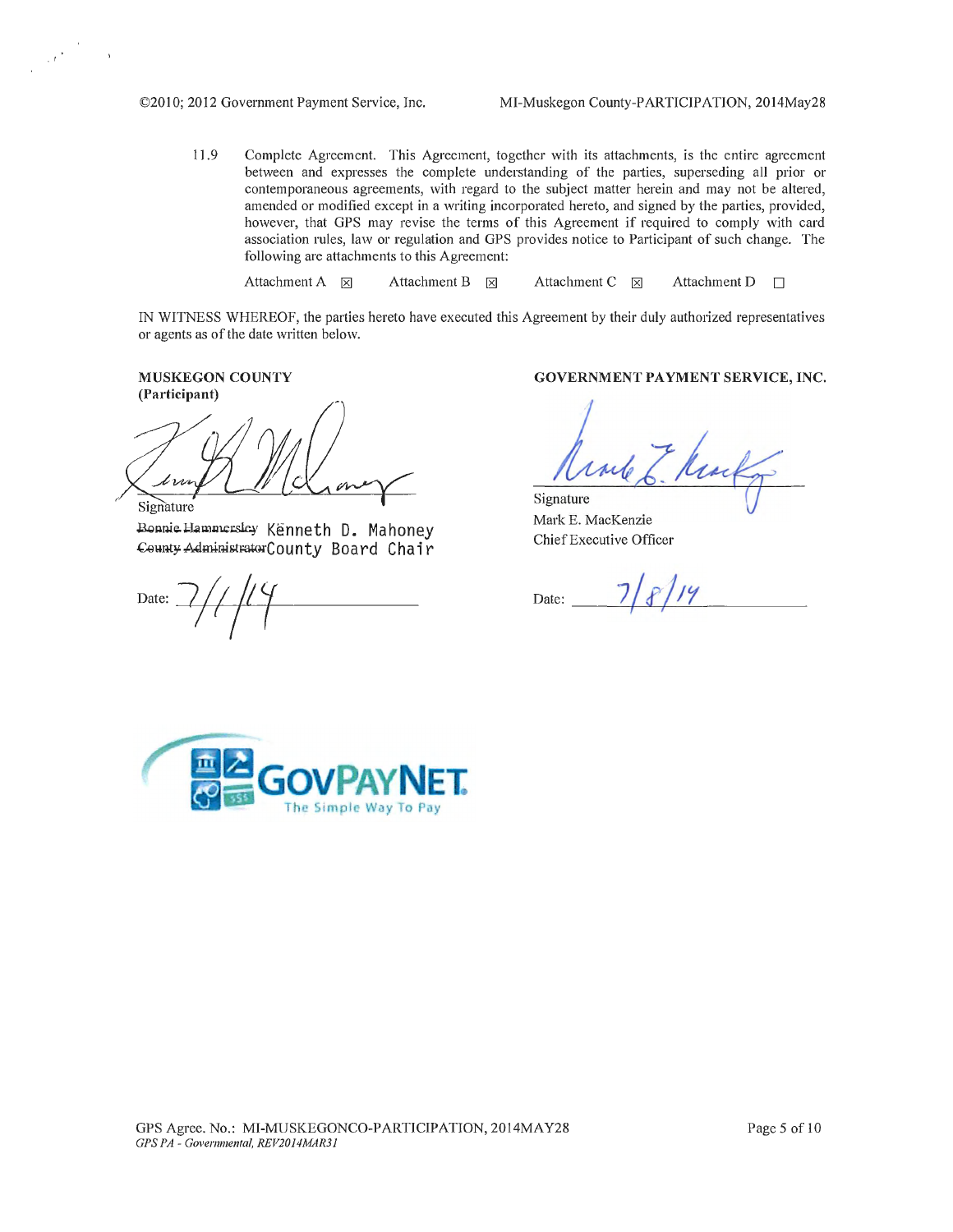11.9 Complete Agreement. This Agreement, together with its attachments, is the entire agreement between and expresses the complete understanding of the parties, superseding all prior or contemporaneous agreements, with regard to the subject matter herein and may not be altered, amended or modified except in a writing incorporated hereto, and signed by the patties, provided, however, that GPS may revise the terms of this Agreement if required to comply with card association rules, law or regulation and GPS provides notice to Participant of such change. The following are attachments to this Agreement:

Attachment A  $\boxtimes$  Attachment B  $\boxtimes$  Attachment C  $\boxtimes$  Attachment D  $\Box$ 

IN WITNESS WHEREOF, the parties hereto have executed this Agreement by their duly authorized representatives or agents as of the date written below.

MUSKEGON COUNTY (Participant)

,  $\hat{\psi}^{\dagger}$ 

t va **Signature** 

Bonnie Hammersley Kenneth D. Mahoney County AdministratorCounty Board Chair

Date:

GOVERNMENT PAYMENT SERVICE, INC.

Mule 6. Macka

Mark E. MacKenzie Chief Executive Officer

Chief Executive Officer<br>Date:  $\frac{7}{8}$ /*14* 

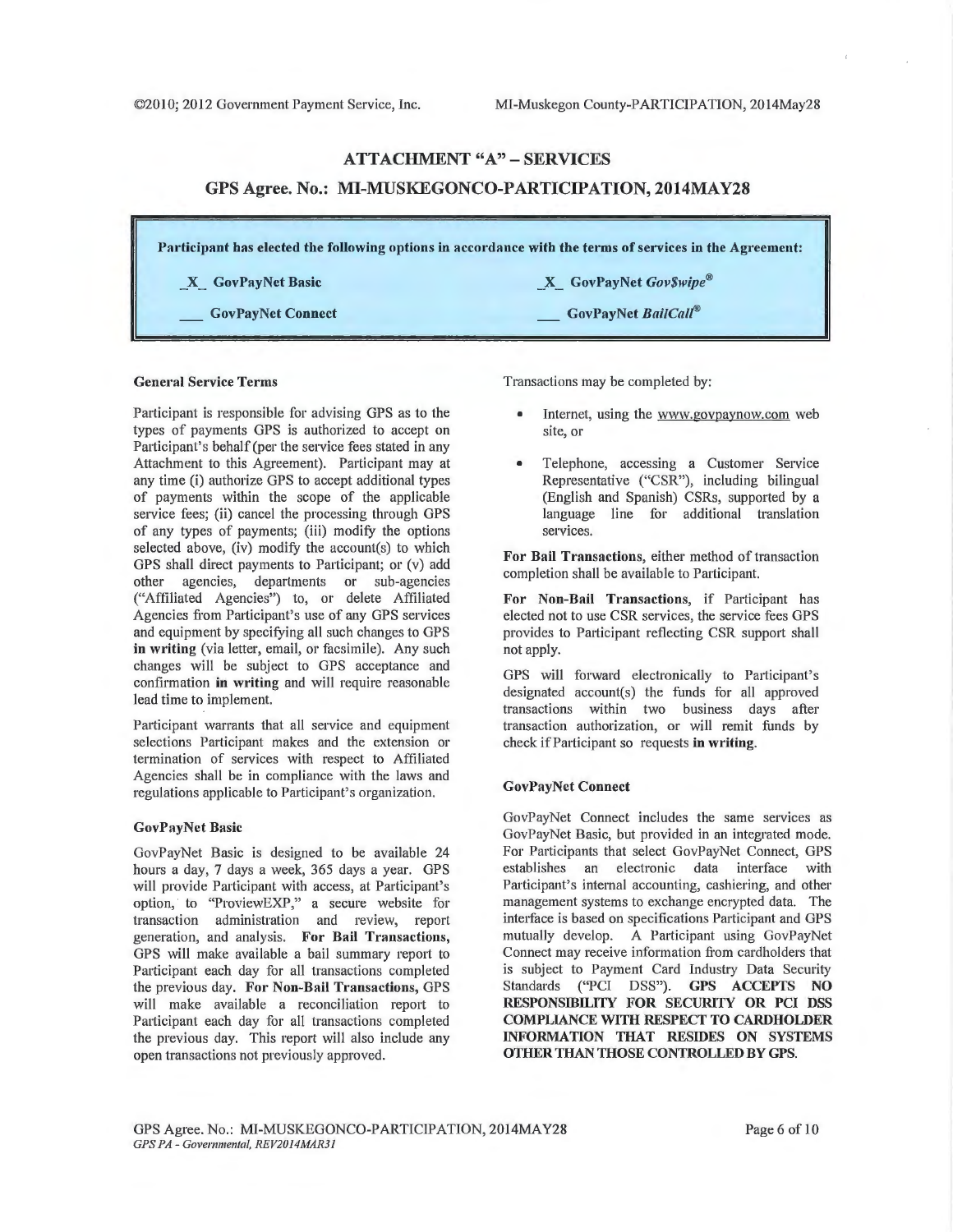# ATTACHMENT "A" -SERVICES GPS Agree. No.: MI-MUSKEGONCO-PARTICIPATION, 2014MAY28

| Participant has elected the following options in accordance with the terms of services in the Agreement: |                                     |  |
|----------------------------------------------------------------------------------------------------------|-------------------------------------|--|
| X GovPayNet Basic                                                                                        | $X$ GovPayNet GovSwipe <sup>®</sup> |  |
| <b>GovPayNet Connect</b>                                                                                 | GovPayNet BailCall®                 |  |

#### General Service Terms

Participant is responsible for advising GPS as to the types of payments GPS is authorized to accept on Participant's behalf (per the service fees stated in any Attachment to this Agreement). Participant may at any time (i) authorize GPS to accept additional types of payments within the scope of the applicable service fees; (ii) cancel the processing through GPS of any types of payments; (iii) modify the options selected above, (iv) modify the account(s) to which GPS shall direct payments to Participant; or (v) add other agencies, departments or sub-agencies ("Affiliated Agencies") to, or delete Affiliated Agencies from Participant's use of any GPS services and equipment by specifying all such changes to GPS in writing (via letter, email, or facsimile). Any such changes will be subject to GPS acceptance and confirmation in writing and will require reasonable lead time to implement.

Participant warrants that all service and equipment selections Participant makes and the extension or termination of services with respect to Affiliated Agencies shall be in compliance with the laws and regulations applicable to Participant's organization.

#### GovPayNet Basic

GovPayNet Basic is designed to be available 24 hours a day, 7 days a week, 365 days a year. GPS will provide Participant with access, at Participant's option, to "ProviewEXP," a secure website for transaction administration and review, report generation, and analysis. For Bail Transactions, GPS will make available a bail summary report to Patticipant each day for all transactions completed the previous day. For Non-Bail Transactions, GPS will make available a reconciliation report to Participant each day for all transactions completed the previous day. This report will also include any open transactions not previously approved.

Transactions may be completed by:

- Internet, using the www.govpaynow.com web site, or
- Telephone, accessing a Customer Service Representative ("CSR"), including bilingual (English and Spanish) CSRs, supported by a language line for additional translation services.

For Bail Transactions, either method of transaction completion shall be available to Participant.

For Non-Bail Transactions, if Participant has elected not to use CSR services, the service fees GPS provides to Participant reflecting CSR support shall not apply.

GPS will forward electronically to Participant's designated account(s) the funds for all approved transactions within two business days after transaction authorization, or will remit funds by check if Participant so requests in writing.

### **GovPayNet Connect**

GovPayNet Connect includes the same services as GovPayNet Basic, but provided in an integrated mode. For Participants that select GovPayNet Connect, GPS establishes an electronic data interface with Participant's internal accounting, cashiering, and other management systems to exchange encrypted data. The interface is based on specifications Participant and GPS mutually develop. A Participant using GovPayNet Connect may receive information from cardholders that is subject to Payment Card Industry Data Security Standards ("PCI DSS"). GPS ACCEPTS NO RESPONSIBILITY FOR SECURITY OR PCI DSS COMPLIANCE WITH RESPECT TO CARDHOLDER INFORMATION THAT RESIDES ON SYSTEMS OTHER THAN THOSE CONTROLLED BY GPS.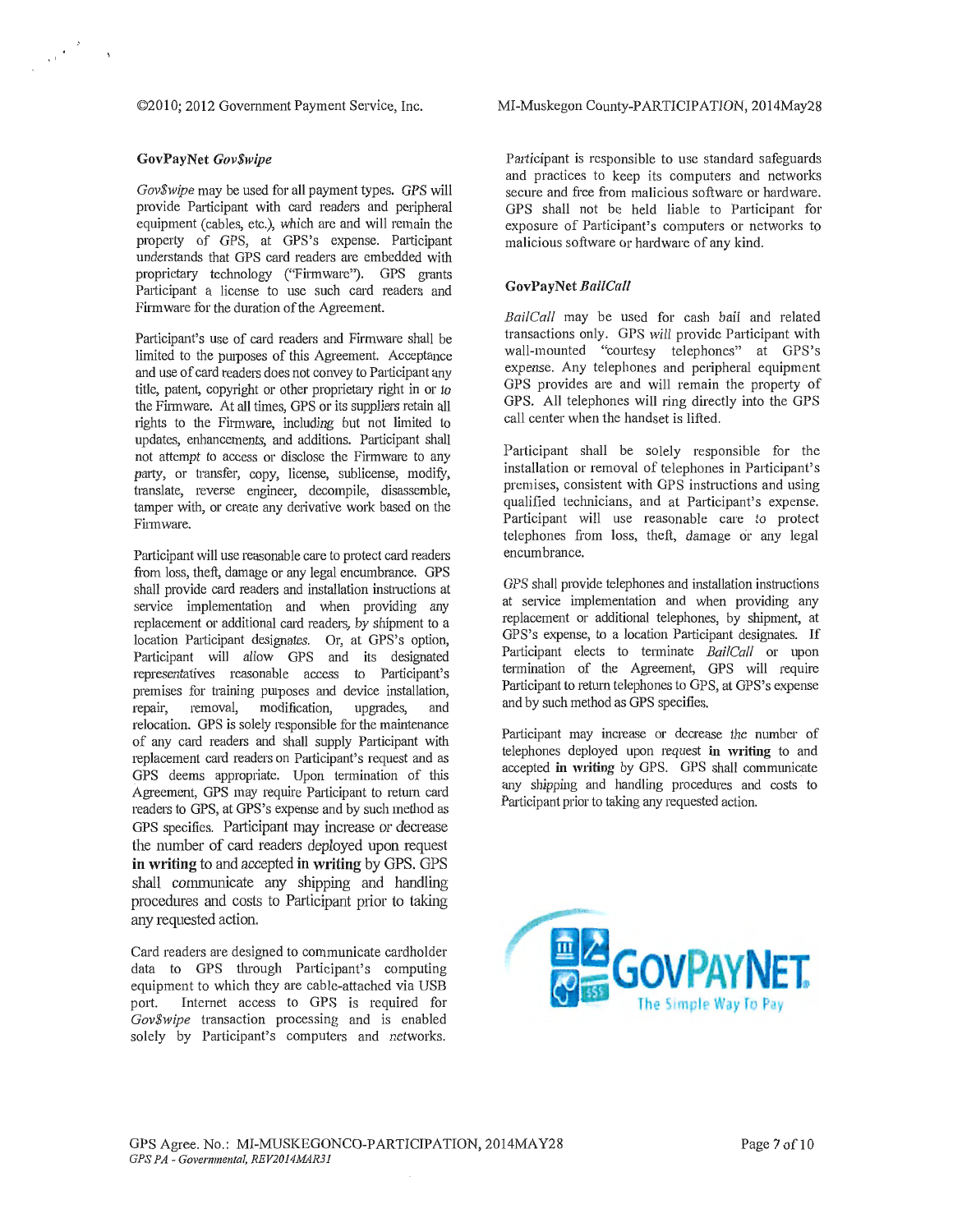©2010; 2012 Government Payment Service, Inc.

### GovPayNet *Gov\$wipe*

·''

*Gov\$wipe* may be used for all payment types. GPS will provide Participant with card readers and peripheral equipment (cables, etc.), which are and will remain the properly of GPS, at GPS's expense. Participant understands that GPS card readers are embedded with proprietary technology ("Firmware"). GPS grants Participant a license to use such card readers and Firmware for the duration of the Agreement.

Participant's use of card readers and Firmware shall be limited to the purposes of this Agreement. Acceptance and use of card readers does not convey to Participant any title, patent, copyright or other proprietary right in or to the Firmware. At all times, GPS or its suppliers retain all rights to the Firmware, including but not limited to updates, enhancements, and additions. Participant shall not attempt to access or disclose the Firmware to any patty, or transfer, copy, license, sublicense, modify, translate, reverse engineer, decompile, disassemble, tamper with, or create any derivative work based on the Fitmware.

Participant will use reasonable care to protect card readers from loss, theft, damage or any legal encumbrance. GPS shall provide card readers and installation instructions at service implementation and when providing any replacement or additional card readers, by shipment to a location Participant designates. Or, at GPS's option, Participant will allow GPS and its designated representatives reasonable access to Participant's premises for training purposes and device installation, repair, removal, modification, upgrades, and relocation. GPS is solely responsible for the maintenance of any card readers and shall supply Participant with replacement card readers on Participant's request and as GPS deems appropriate. Upon termination of this Agreement, GPS may require Participant to return card readers to GPS, at GPS's expense and by such method as GPS specifies. Patticipant may increase or decrease the number of card readers deployed upon request in writing to and accepted in writing by GPS. GPS shall communicate any shipping and handling procedures and costs to Participant prior to taking any requested action.

Card readers are designed to communicate cardholder data to GPS through Participant's computing equipment to which they are cable-attached via USB port. Internet access to GPS is required for *Gov\$wipe* transaction processing and is enabled solely by Participant's computers and networks.

MI-Muskegon County-PARTICIPATION, 2014May28

Patticipant is responsible to use standard safeguards and practices to keep its computers and networks secure and free from malicious software or hardware. GPS shall not be held liable to Participant for exposure of Participant's computers or networks to malicious software or hardware of any kind.

### GovPayNet *Bai!Call*

*Bai/Call* may be used for cash bail and related transactions only. GPS will provide Participant with wall-mounted "courtesy telephones" at GPS's expense. Any telephones and peripheral equipment GPS provides are and will remain the property of GPS. All telephones will ring directly into the GPS call center when the handset is lifted.

Participant shall be solely responsible for the installation or removal of telephones in Participant's premises, consistent with GPS instructions and using qualified technicians, and at Participant's expense. Participant will use reasonable care to protect telephones from loss, theft, damage or any legal encumbrance.

GPS shall provide telephones and installation instructions at service implementation and when providing any replacement or additional telephones, by shipment, at GPS's expense, to a location Participant designates. If Participant elects to terminate *BailCall* or upon termination of the Agreement, GPS will require Participant to return telephones to GPS, at GPS's expense and by such method as GPS specifies.

Participant may increase or decrease the number of telephones deployed upon request in writing to and accepted in writing by GPS. GPS shall communicate any shipping and handling procedures and costs to Participant prior to taking any requested action.

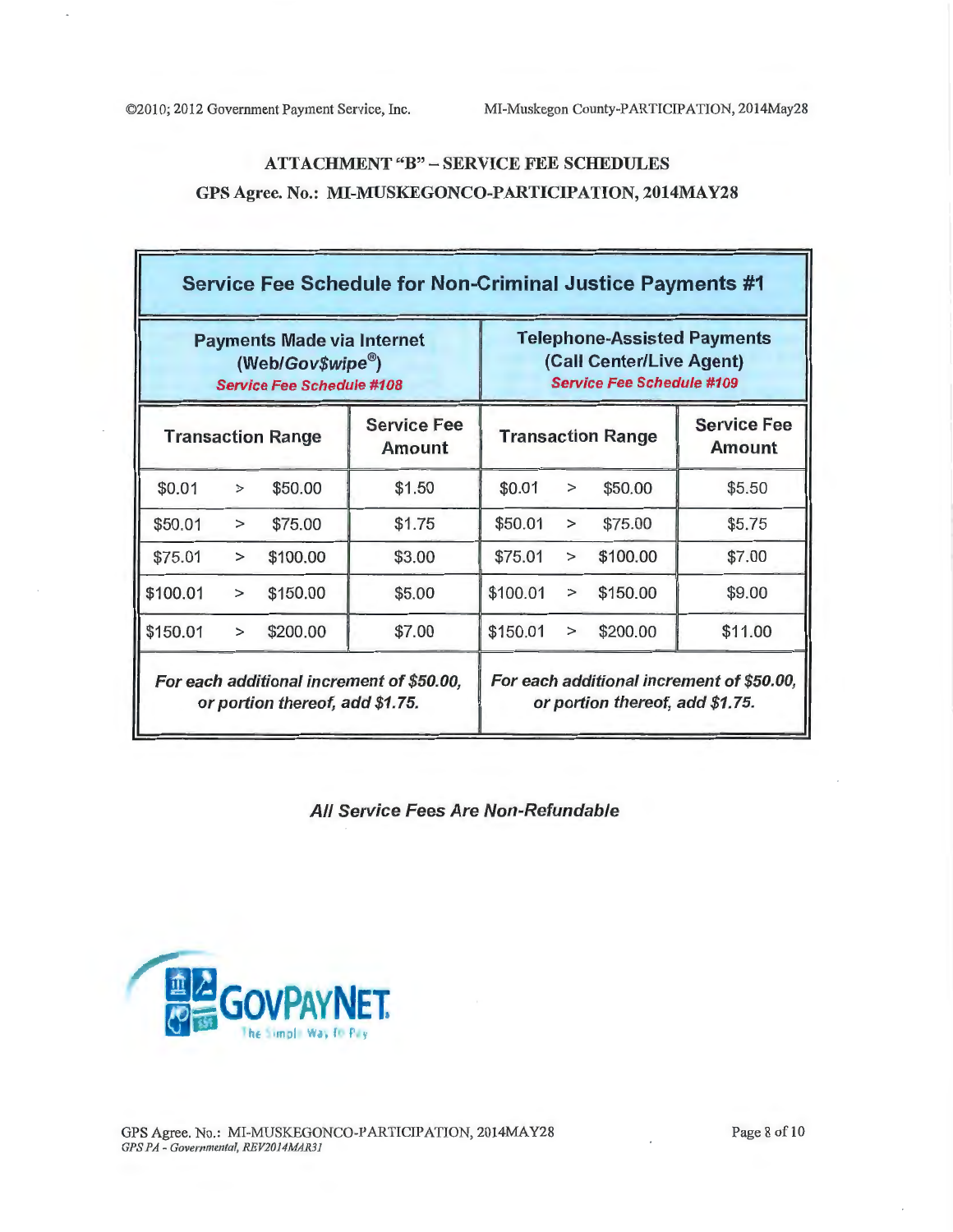# ATTACHMENT "B" - SERVICE FEE SCHEDULES GPS Agree. No.: MI-MUSKEGONCO-PARTICIPATION, 2014MAY28

| <b>Transaction Range</b> |                                                                              |
|--------------------------|------------------------------------------------------------------------------|
| \$50.00                  | \$5.50                                                                       |
| \$75.00                  | \$5.75                                                                       |
| \$100.00                 | \$7.00                                                                       |
| \$150.00                 | \$9.00                                                                       |
| \$200.00                 | \$11.00                                                                      |
|                          | For each additional increment of \$50.00,<br>or portion thereof, add \$1.75. |

All Service Fees Are Non-Refundable

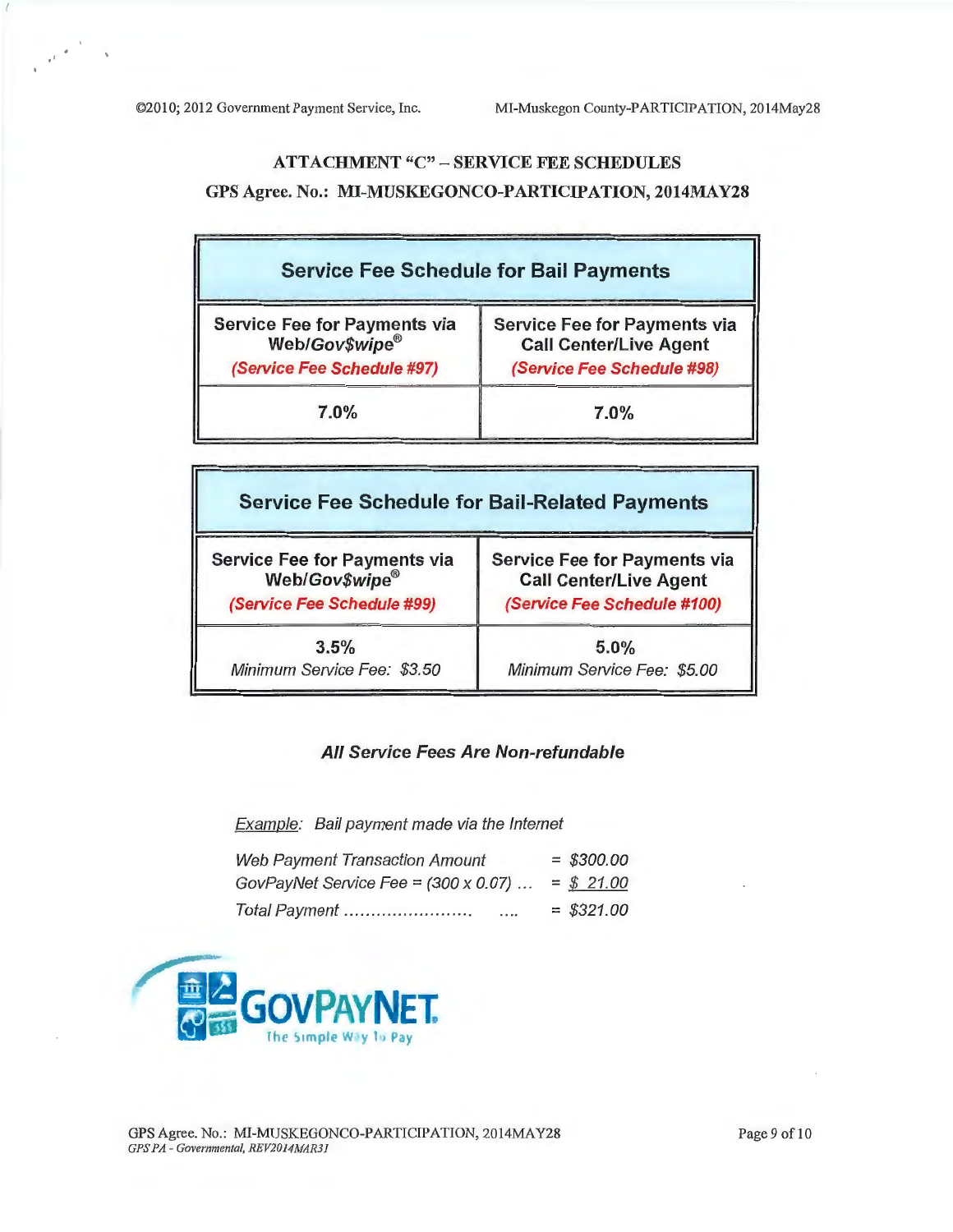$^{\prime}$ 

# ATTACHMENT "C" - SERVICE FEE SCHEDULES GPS Agree. No.: MI-MUSKEGONCO-PARTICIPATION, 2014MAY28

| <b>Service Fee Schedule for Bail Payments</b>                                       |                                                                                                    |  |  |
|-------------------------------------------------------------------------------------|----------------------------------------------------------------------------------------------------|--|--|
| <b>Service Fee for Payments via</b><br>Web/Gov\$wipe®<br>(Service Fee Schedule #97) | <b>Service Fee for Payments via</b><br><b>Call Center/Live Agent</b><br>(Service Fee Schedule #98) |  |  |
| $7.0\%$                                                                             | $7.0\%$                                                                                            |  |  |

| <b>Service Fee Schedule for Bail-Related Payments</b> |                                     |  |  |  |
|-------------------------------------------------------|-------------------------------------|--|--|--|
| <b>Service Fee for Payments via</b>                   | <b>Service Fee for Payments via</b> |  |  |  |
| Web/Gov\$wipe®                                        | <b>Call Center/Live Agent</b>       |  |  |  |
| (Service Fee Schedule #99)                            | (Service Fee Schedule #100)         |  |  |  |
| 3.5%                                                  | 5.0%                                |  |  |  |
| Minimum Service Fee: \$3.50                           | Minimum Service Fee: \$5.00         |  |  |  |

# All Service Fees Are Non-refundable

Example: Bail payment made via the Internet

| <b>Web Payment Transaction Amount</b>       | $=$ \$300.00 |
|---------------------------------------------|--------------|
| GovPayNet Service Fee = $(300 \times 0.07)$ | $=$ \$ 21.00 |
| Total Payment<br>.                          | $=$ \$321.00 |